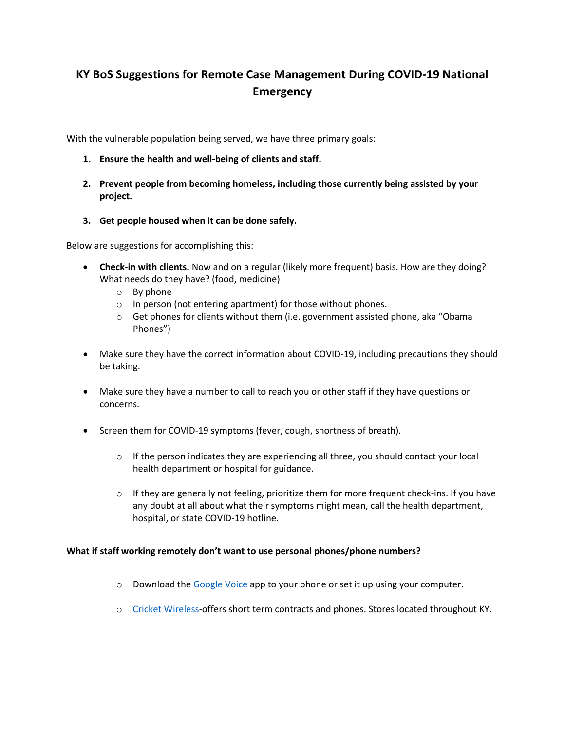## **KY BoS Suggestions for Remote Case Management During COVID-19 National Emergency**

With the vulnerable population being served, we have three primary goals:

- **1. Ensure the health and well-being of clients and staff.**
- **2. Prevent people from becoming homeless, including those currently being assisted by your project.**
- **3. Get people housed when it can be done safely.**

Below are suggestions for accomplishing this:

- **Check-in with clients.** Now and on a regular (likely more frequent) basis. How are they doing? What needs do they have? (food, medicine)
	- o By phone
	- o In person (not entering apartment) for those without phones.
	- $\circ$  Get phones for clients without them (i.e. government assisted phone, aka "Obama Phones")
- Make sure they have the correct information about COVID-19, including precautions they should be taking.
- Make sure they have a number to call to reach you or other staff if they have questions or concerns.
- Screen them for COVID-19 symptoms (fever, cough, shortness of breath).
	- $\circ$  If the person indicates they are experiencing all three, you should contact your local health department or hospital for guidance.
	- $\circ$  If they are generally not feeling, prioritize them for more frequent check-ins. If you have any doubt at all about what their symptoms might mean, call the health department, hospital, or state COVID-19 hotline.

## **What if staff working remotely don't want to use personal phones/phone numbers?**

- $\circ$  Download th[e Google Voice](https://support.google.com/voice/answer/115061?co=GENIE.Platform%3DDesktop&hl=en) app to your phone or set it up using your computer.
- o [Cricket Wireless-](https://www.cricketwireless.com/cell-phone-plans)offers short term contracts and phones. Stores located throughout KY.